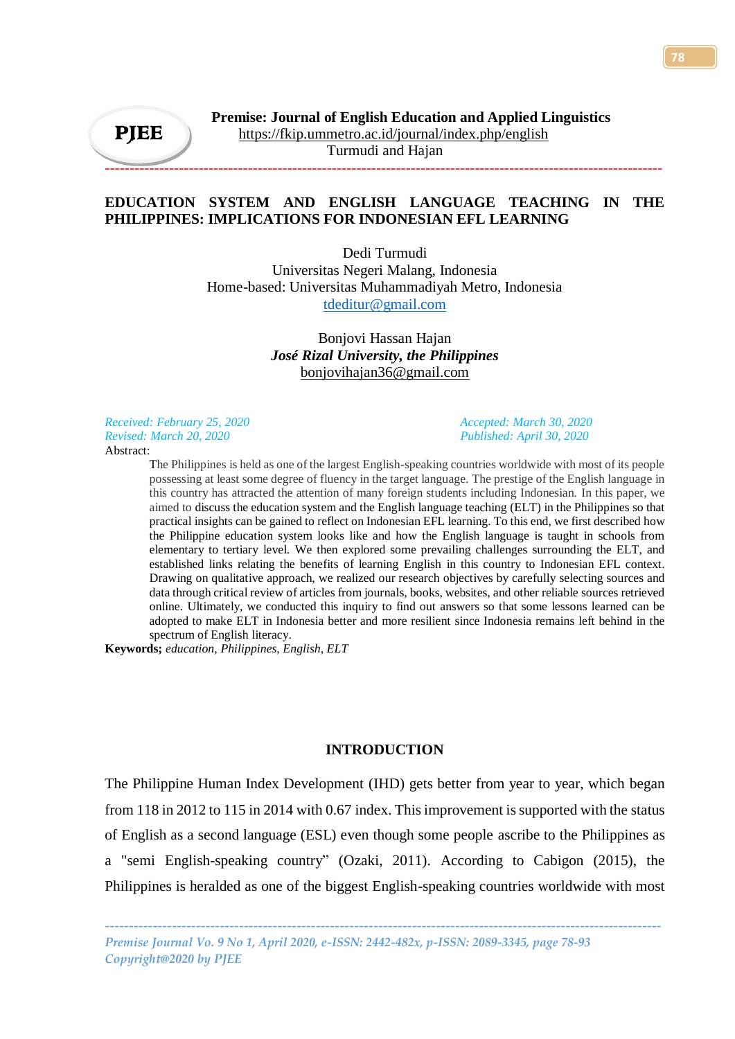# **EDUCATION SYSTEM AND ENGLISH LANGUAGE TEACHING IN THE PHILIPPINES: IMPLICATIONS FOR INDONESIAN EFL LEARNING**

-----------------------------------------------------------------------------------------------------------------

Dedi Turmudi Universitas Negeri Malang, Indonesia Home-based: Universitas Muhammadiyah Metro, Indonesia [tdeditur@gmail.com](mailto:https://orcid.org/0000-0003-4803-5854)

# Bonjovi Hassan Hajan *José Rizal University, the Philippines* [bonjovihajan36@gmail.com](mailto:http://orcid.org/0000-0003-00589241)

*Received: February 25, 2020 Accepted: March 30, 2020 Revised: March 20, 2020 Published: April 30, 2020* Abstract:

The Philippines is held as one of the largest English-speaking countries worldwide with most of its people possessing at least some degree of fluency in the target language. The prestige of the English language in this country has attracted the attention of many foreign students including Indonesian. In this paper, we aimed to discuss the education system and the English language teaching (ELT) in the Philippines so that practical insights can be gained to reflect on Indonesian EFL learning. To this end, we first described how the Philippine education system looks like and how the English language is taught in schools from elementary to tertiary level. We then explored some prevailing challenges surrounding the ELT, and established links relating the benefits of learning English in this country to Indonesian EFL context. Drawing on qualitative approach, we realized our research objectives by carefully selecting sources and data through critical review of articles from journals, books, websites, and other reliable sources retrieved online. Ultimately, we conducted this inquiry to find out answers so that some lessons learned can be adopted to make ELT in Indonesia better and more resilient since Indonesia remains left behind in the spectrum of English literacy.

**Keywords;** *education, Philippines, English, ELT*

# **INTRODUCTION**

The Philippine Human Index Development (IHD) gets better from year to year, which began from 118 in 2012 to 115 in 2014 with 0.67 index. This improvement is supported with the status of English as a second language (ESL) even though some people ascribe to the Philippines as a "semi English-speaking country" (Ozaki, 2011). According to Cabigon (2015), the Philippines is heralded as one of the biggest English-speaking countries worldwide with most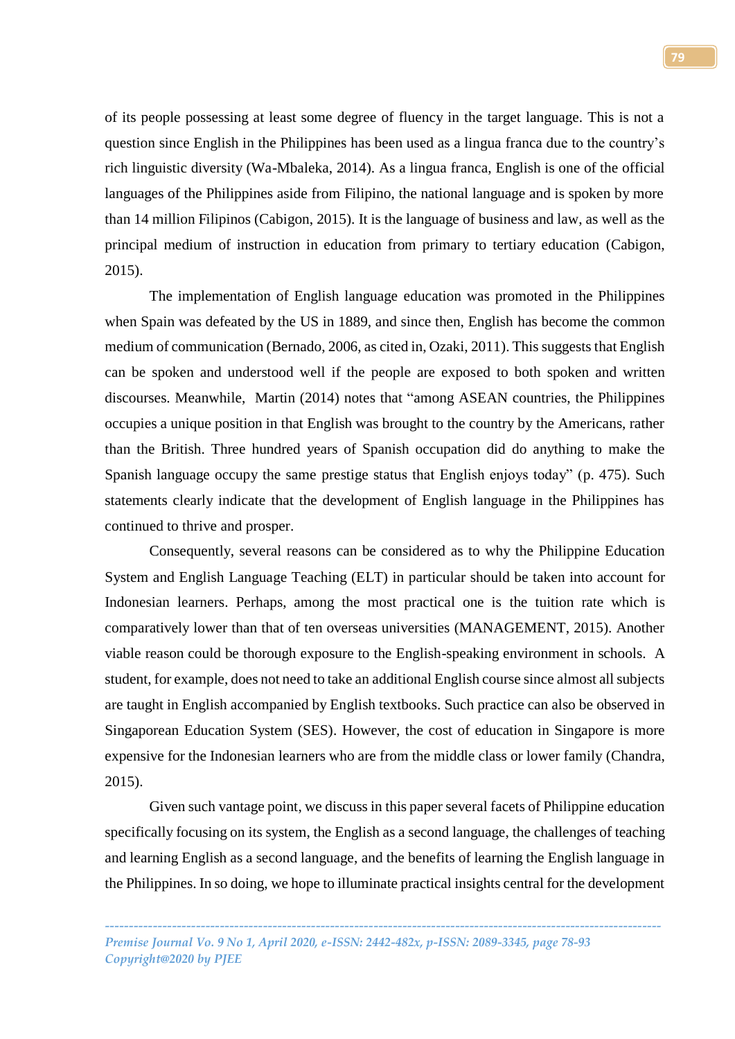of its people possessing at least some degree of fluency in the target language. This is not a question since English in the Philippines has been used as a lingua franca due to the country's rich linguistic diversity (Wa-Mbaleka, 2014). As a lingua franca, English is one of the official languages of the Philippines aside from Filipino, the national language and is spoken by more than 14 million Filipinos (Cabigon, 2015). It is the language of business and law, as well as the principal medium of instruction in education from primary to tertiary education (Cabigon, 2015).

The implementation of English language education was promoted in the Philippines when Spain was defeated by the US in 1889, and since then, English has become the common medium of communication (Bernado, 2006, as cited in, Ozaki, 2011). This suggests that English can be spoken and understood well if the people are exposed to both spoken and written discourses. Meanwhile, Martin (2014) notes that "among ASEAN countries, the Philippines occupies a unique position in that English was brought to the country by the Americans, rather than the British. Three hundred years of Spanish occupation did do anything to make the Spanish language occupy the same prestige status that English enjoys today" (p. 475). Such statements clearly indicate that the development of English language in the Philippines has continued to thrive and prosper.

Consequently, several reasons can be considered as to why the Philippine Education System and English Language Teaching (ELT) in particular should be taken into account for Indonesian learners. Perhaps, among the most practical one is the tuition rate which is comparatively lower than that of ten overseas universities (MANAGEMENT, 2015). Another viable reason could be thorough exposure to the English-speaking environment in schools. A student, for example, does not need to take an additional English course since almost all subjects are taught in English accompanied by English textbooks. Such practice can also be observed in Singaporean Education System (SES). However, the cost of education in Singapore is more expensive for the Indonesian learners who are from the middle class or lower family (Chandra, 2015).

Given such vantage point, we discuss in this paper several facets of Philippine education specifically focusing on its system, the English as a second language, the challenges of teaching and learning English as a second language, and the benefits of learning the English language in the Philippines. In so doing, we hope to illuminate practical insights central for the development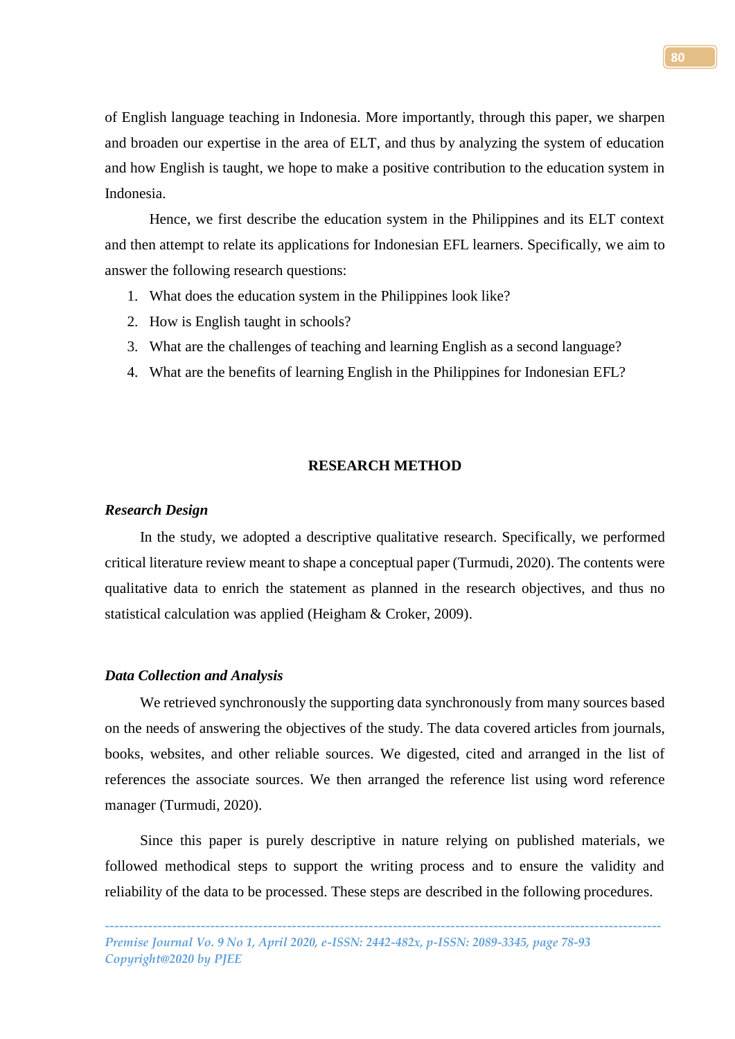of English language teaching in Indonesia. More importantly, through this paper, we sharpen and broaden our expertise in the area of ELT, and thus by analyzing the system of education and how English is taught, we hope to make a positive contribution to the education system in Indonesia.

Hence, we first describe the education system in the Philippines and its ELT context and then attempt to relate its applications for Indonesian EFL learners. Specifically, we aim to answer the following research questions:

- 1. What does the education system in the Philippines look like?
- 2. How is English taught in schools?
- 3. What are the challenges of teaching and learning English as a second language?
- 4. What are the benefits of learning English in the Philippines for Indonesian EFL?

## **RESEARCH METHOD**

#### *Research Design*

In the study, we adopted a descriptive qualitative research. Specifically, we performed critical literature review meant to shape a conceptual paper (Turmudi, 2020). The contents were qualitative data to enrich the statement as planned in the research objectives, and thus no statistical calculation was applied (Heigham & Croker, 2009).

### *Data Collection and Analysis*

We retrieved synchronously the supporting data synchronously from many sources based on the needs of answering the objectives of the study. The data covered articles from journals, books, websites, and other reliable sources. We digested, cited and arranged in the list of references the associate sources. We then arranged the reference list using word reference manager (Turmudi, 2020).

Since this paper is purely descriptive in nature relying on published materials, we followed methodical steps to support the writing process and to ensure the validity and reliability of the data to be processed. These steps are described in the following procedures.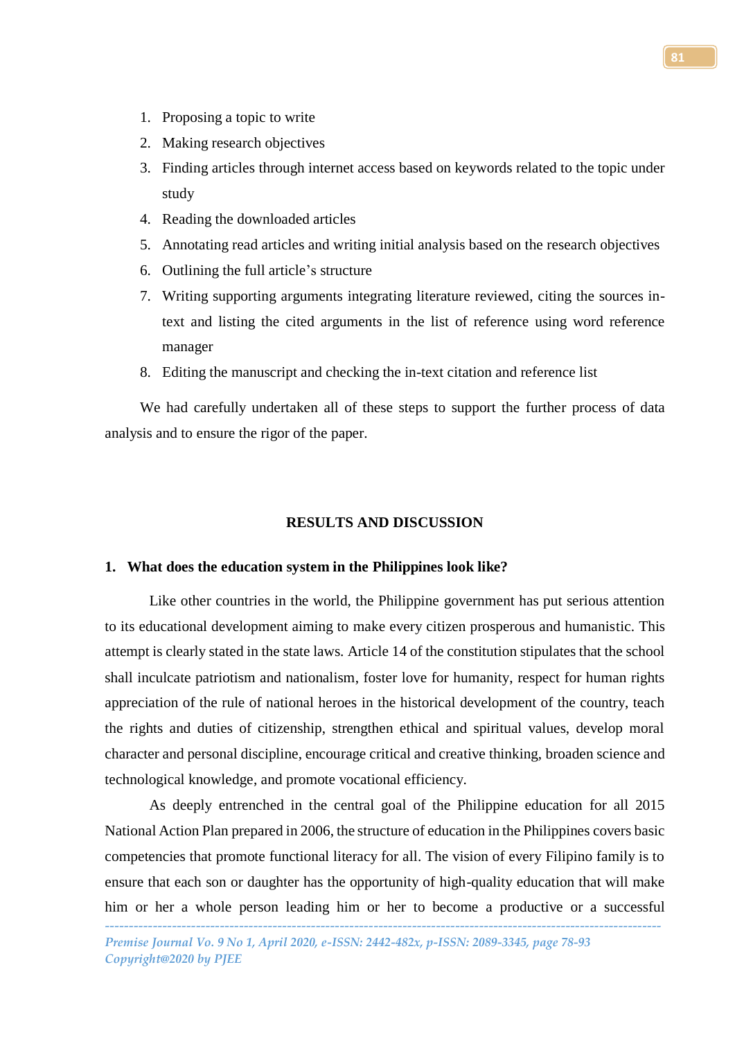- 1. Proposing a topic to write
- 2. Making research objectives
- 3. Finding articles through internet access based on keywords related to the topic under study
- 4. Reading the downloaded articles
- 5. Annotating read articles and writing initial analysis based on the research objectives
- 6. Outlining the full article's structure
- 7. Writing supporting arguments integrating literature reviewed, citing the sources intext and listing the cited arguments in the list of reference using word reference manager
- 8. Editing the manuscript and checking the in-text citation and reference list

We had carefully undertaken all of these steps to support the further process of data analysis and to ensure the rigor of the paper.

## **RESULTS AND DISCUSSION**

# **1. What does the education system in the Philippines look like?**

Like other countries in the world, the Philippine government has put serious attention to its educational development aiming to make every citizen prosperous and humanistic. This attempt is clearly stated in the state laws. Article 14 of the constitution stipulates that the school shall inculcate patriotism and nationalism, foster love for humanity, respect for human rights appreciation of the rule of national heroes in the historical development of the country, teach the rights and duties of citizenship, strengthen ethical and spiritual values, develop moral character and personal discipline, encourage critical and creative thinking, broaden science and technological knowledge, and promote vocational efficiency.

As deeply entrenched in the central goal of the Philippine education for all 2015 National Action Plan prepared in 2006, the structure of education in the Philippines covers basic competencies that promote functional literacy for all. The vision of every Filipino family is to ensure that each son or daughter has the opportunity of high-quality education that will make him or her a whole person leading him or her to become a productive or a successful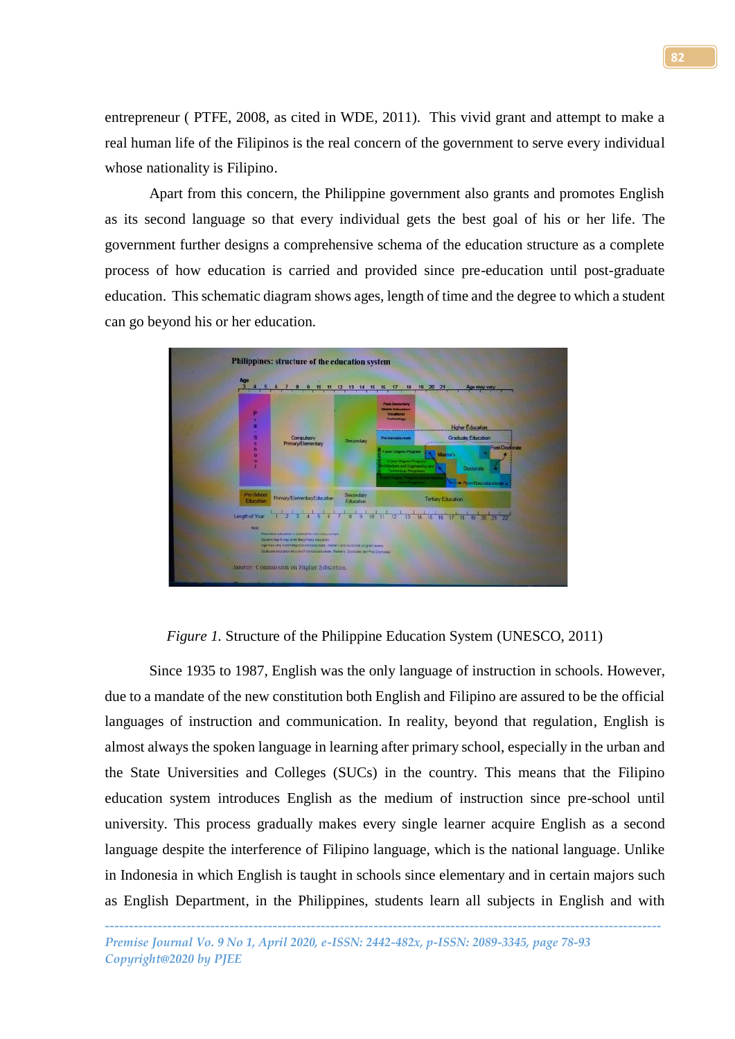entrepreneur ( PTFE, 2008, as cited in WDE, 2011). This vivid grant and attempt to make a real human life of the Filipinos is the real concern of the government to serve every individual whose nationality is Filipino.

Apart from this concern, the Philippine government also grants and promotes English as its second language so that every individual gets the best goal of his or her life. The government further designs a comprehensive schema of the education structure as a complete process of how education is carried and provided since pre-education until post-graduate education. This schematic diagram shows ages, length of time and the degree to which a student can go beyond his or her education.



*Figure 1.* Structure of the Philippine Education System (UNESCO, 2011)

Since 1935 to 1987, English was the only language of instruction in schools. However, due to a mandate of the new constitution both English and Filipino are assured to be the official languages of instruction and communication. In reality, beyond that regulation, English is almost always the spoken language in learning after primary school, especially in the urban and the State Universities and Colleges (SUCs) in the country. This means that the Filipino education system introduces English as the medium of instruction since pre-school until university. This process gradually makes every single learner acquire English as a second language despite the interference of Filipino language, which is the national language. Unlike in Indonesia in which English is taught in schools since elementary and in certain majors such as English Department, in the Philippines, students learn all subjects in English and with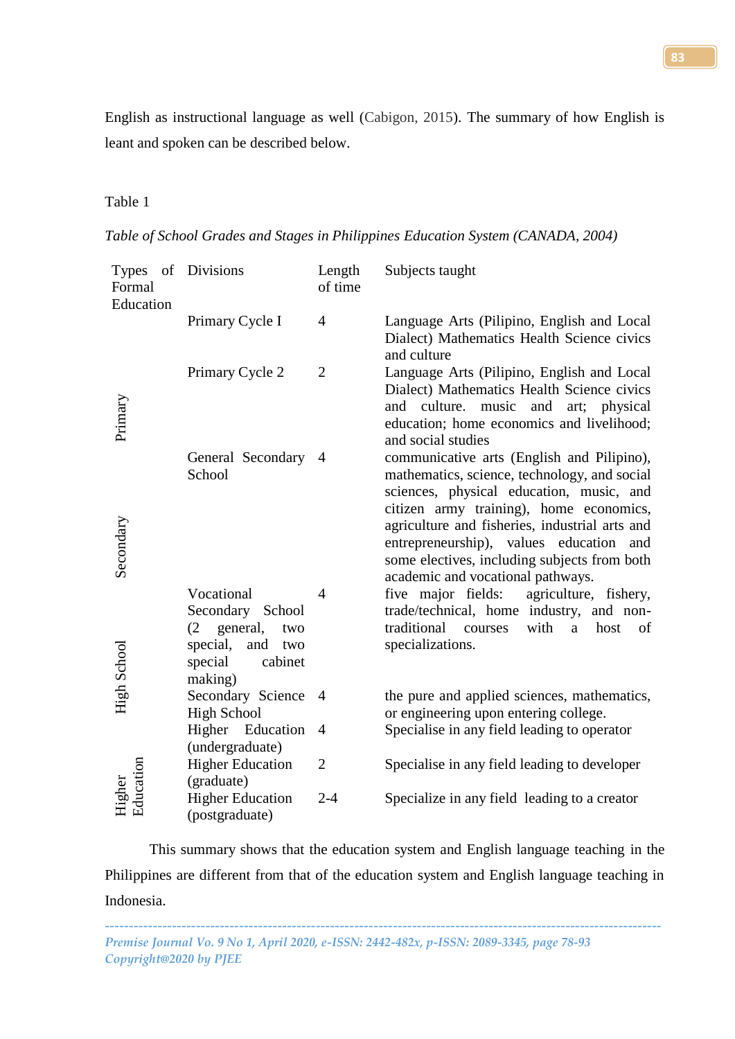English as instructional language as well (Cabigon, 2015). The summary of how English is leant and spoken can be described below.

# Table 1

*Table of School Grades and Stages in Philippines Education System (CANADA, 2004)*

| of<br><b>Types</b><br>Formal<br>Education | <b>Divisions</b>                                                                                                    | Length<br>of time | Subjects taught                                                                                                                                                                                                              |
|-------------------------------------------|---------------------------------------------------------------------------------------------------------------------|-------------------|------------------------------------------------------------------------------------------------------------------------------------------------------------------------------------------------------------------------------|
|                                           | Primary Cycle I                                                                                                     | $\overline{4}$    | Language Arts (Pilipino, English and Local<br>Dialect) Mathematics Health Science civics<br>and culture                                                                                                                      |
| Primary                                   | Primary Cycle 2                                                                                                     | $\overline{2}$    | Language Arts (Pilipino, English and Local<br>Dialect) Mathematics Health Science civics<br>and culture.<br>music and art; physical<br>education; home economics and livelihood;<br>and social studies                       |
|                                           | General Secondary<br>School                                                                                         | $\overline{4}$    | communicative arts (English and Pilipino),<br>mathematics, science, technology, and social<br>sciences, physical education, music, and                                                                                       |
| Secondary                                 |                                                                                                                     |                   | citizen army training), home economics,<br>agriculture and fisheries, industrial arts and<br>entrepreneurship), values education<br>and<br>some electives, including subjects from both<br>academic and vocational pathways. |
| High School                               | Vocational<br>Secondary School<br>general,<br>(2)<br>two<br>special,<br>and<br>two<br>special<br>cabinet<br>making) | $\overline{4}$    | five major fields:<br>agriculture, fishery,<br>trade/technical, home industry, and non-<br>traditional<br>with<br>courses<br>host<br>of<br>a<br>specializations.                                                             |
|                                           | Secondary Science<br><b>High School</b>                                                                             | $\overline{4}$    | the pure and applied sciences, mathematics,<br>or engineering upon entering college.                                                                                                                                         |
|                                           | Higher Education<br>(undergraduate)                                                                                 | 4                 | Specialise in any field leading to operator                                                                                                                                                                                  |
| Higher<br>Education                       | <b>Higher Education</b><br>(graduate)                                                                               | $\overline{2}$    | Specialise in any field leading to developer                                                                                                                                                                                 |
|                                           | <b>Higher Education</b><br>(postgraduate)                                                                           | $2 - 4$           | Specialize in any field leading to a creator                                                                                                                                                                                 |

This summary shows that the education system and English language teaching in the Philippines are different from that of the education system and English language teaching in Indonesia.

*-------------------------------------------------------------------------------------------------------------------- Premise Journal Vo. 9 No 1, April 2020, e-ISSN: 2442-482x, p-ISSN: 2089-3345, page 78-93 Copyright@2020 by PJEE*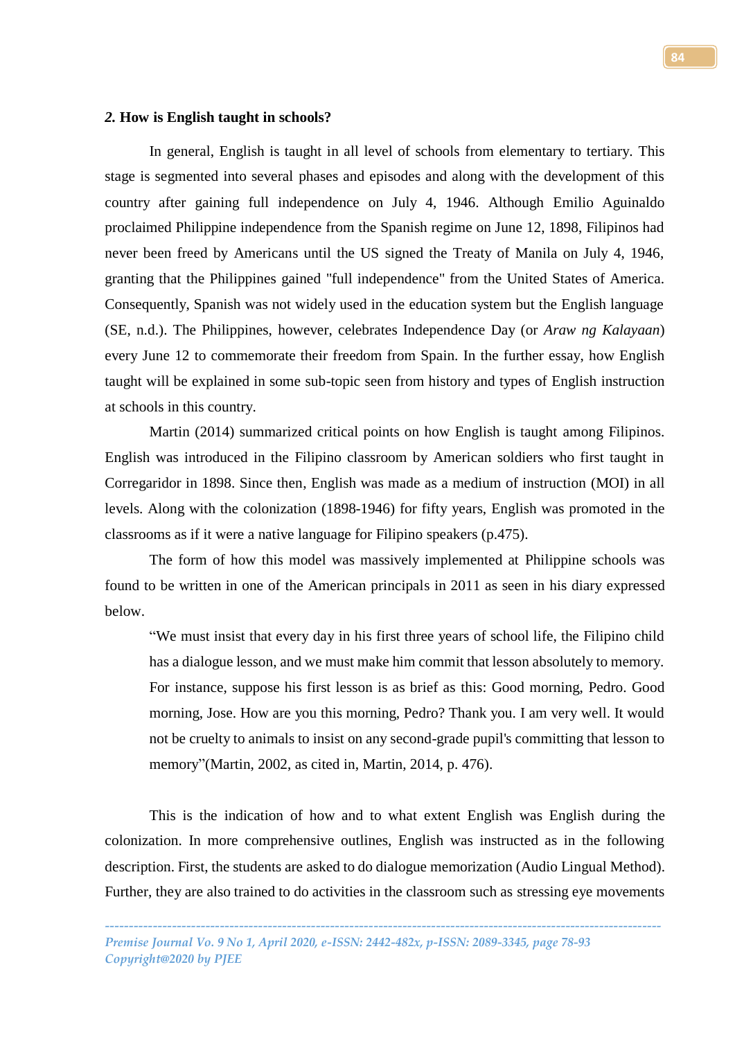#### *2.* **How is English taught in schools?**

In general, English is taught in all level of schools from elementary to tertiary. This stage is segmented into several phases and episodes and along with the development of this country after gaining full independence on July 4, 1946. Although Emilio Aguinaldo proclaimed Philippine independence from the Spanish regime on June 12, 1898, Filipinos had never been freed by Americans until the US signed the Treaty of Manila on July 4, 1946, granting that the Philippines gained "full independence" from the United States of America. Consequently, Spanish was not widely used in the education system but the English language (SE, n.d.). The Philippines, however, celebrates Independence Day (or *Araw ng Kalayaan*) every June 12 to commemorate their freedom from Spain. In the further essay, how English taught will be explained in some sub-topic seen from history and types of English instruction at schools in this country.

Martin (2014) summarized critical points on how English is taught among Filipinos. English was introduced in the Filipino classroom by American soldiers who first taught in Corregaridor in 1898. Since then, English was made as a medium of instruction (MOI) in all levels. Along with the colonization (1898-1946) for fifty years, English was promoted in the classrooms as if it were a native language for Filipino speakers (p.475).

The form of how this model was massively implemented at Philippine schools was found to be written in one of the American principals in 2011 as seen in his diary expressed below.

"We must insist that every day in his first three years of school life, the Filipino child has a dialogue lesson, and we must make him commit that lesson absolutely to memory. For instance, suppose his first lesson is as brief as this: Good morning, Pedro. Good morning, Jose. How are you this morning, Pedro? Thank you. I am very well. It would not be cruelty to animals to insist on any second-grade pupil's committing that lesson to memory"(Martin, 2002, as cited in, Martin, 2014, p. 476).

This is the indication of how and to what extent English was English during the colonization. In more comprehensive outlines, English was instructed as in the following description. First, the students are asked to do dialogue memorization (Audio Lingual Method). Further, they are also trained to do activities in the classroom such as stressing eye movements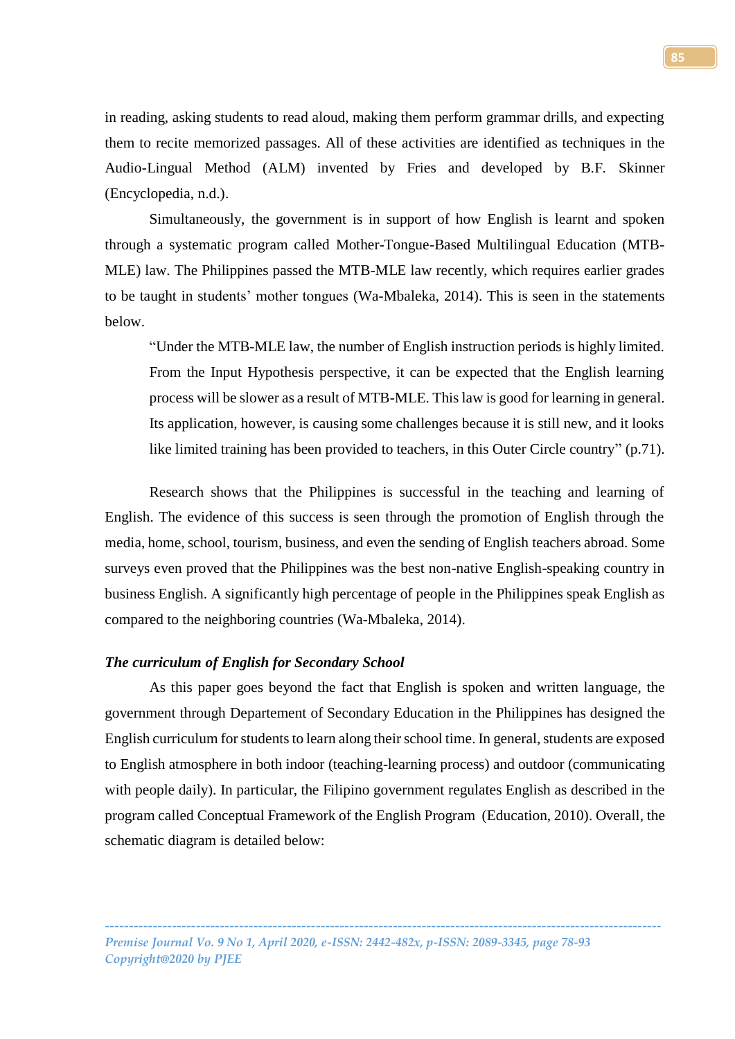in reading, asking students to read aloud, making them perform grammar drills, and expecting them to recite memorized passages. All of these activities are identified as techniques in the Audio-Lingual Method (ALM) invented by Fries and developed by B.F. Skinner (Encyclopedia, n.d.).

Simultaneously, the government is in support of how English is learnt and spoken through a systematic program called Mother-Tongue-Based Multilingual Education (MTB-MLE) law. The Philippines passed the MTB-MLE law recently, which requires earlier grades to be taught in students' mother tongues (Wa-Mbaleka, 2014). This is seen in the statements below.

"Under the MTB-MLE law, the number of English instruction periods is highly limited. From the Input Hypothesis perspective, it can be expected that the English learning process will be slower as a result of MTB-MLE. This law is good for learning in general. Its application, however, is causing some challenges because it is still new, and it looks like limited training has been provided to teachers, in this Outer Circle country" (p.71).

Research shows that the Philippines is successful in the teaching and learning of English. The evidence of this success is seen through the promotion of English through the media, home, school, tourism, business, and even the sending of English teachers abroad. Some surveys even proved that the Philippines was the best non-native English-speaking country in business English. A significantly high percentage of people in the Philippines speak English as compared to the neighboring countries (Wa-Mbaleka, 2014).

## *The curriculum of English for Secondary School*

As this paper goes beyond the fact that English is spoken and written language, the government through Departement of Secondary Education in the Philippines has designed the English curriculum for students to learn along their school time. In general, students are exposed to English atmosphere in both indoor (teaching-learning process) and outdoor (communicating with people daily). In particular, the Filipino government regulates English as described in the program called Conceptual Framework of the English Program (Education, 2010). Overall, the schematic diagram is detailed below: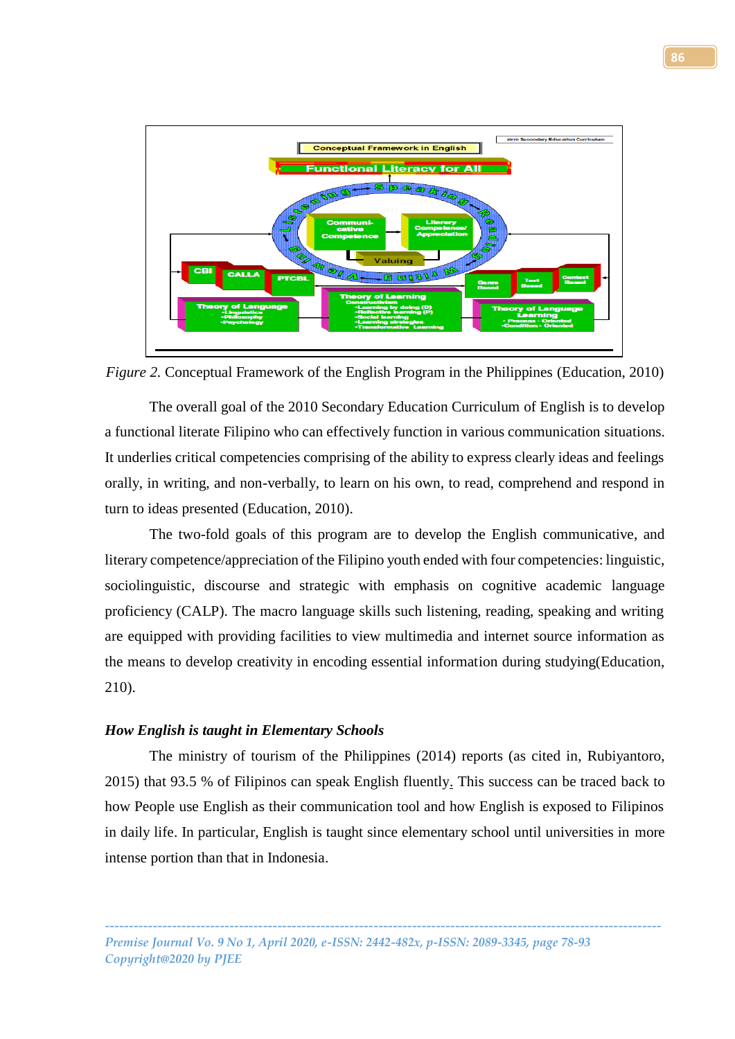

*Figure 2.* Conceptual Framework of the English Program in the Philippines (Education, 2010)

The overall goal of the 2010 Secondary Education Curriculum of English is to develop a functional literate Filipino who can effectively function in various communication situations. It underlies critical competencies comprising of the ability to express clearly ideas and feelings orally, in writing, and non-verbally, to learn on his own, to read, comprehend and respond in turn to ideas presented (Education, 2010).

The two-fold goals of this program are to develop the English communicative, and literary competence/appreciation of the Filipino youth ended with four competencies: linguistic, sociolinguistic, discourse and strategic with emphasis on cognitive academic language proficiency (CALP). The macro language skills such listening, reading, speaking and writing are equipped with providing facilities to view multimedia and internet source information as the means to develop creativity in encoding essential information during studying(Education, 210).

## *How English is taught in Elementary Schools*

The ministry of tourism of the Philippines (2014) reports (as cited in, Rubiyantoro, 2015) that 93.5 % of Filipinos can speak English fluently. This success can be traced back to how People use English as their communication tool and how English is exposed to Filipinos in daily life. In particular, English is taught since elementary school until universities in more intense portion than that in Indonesia.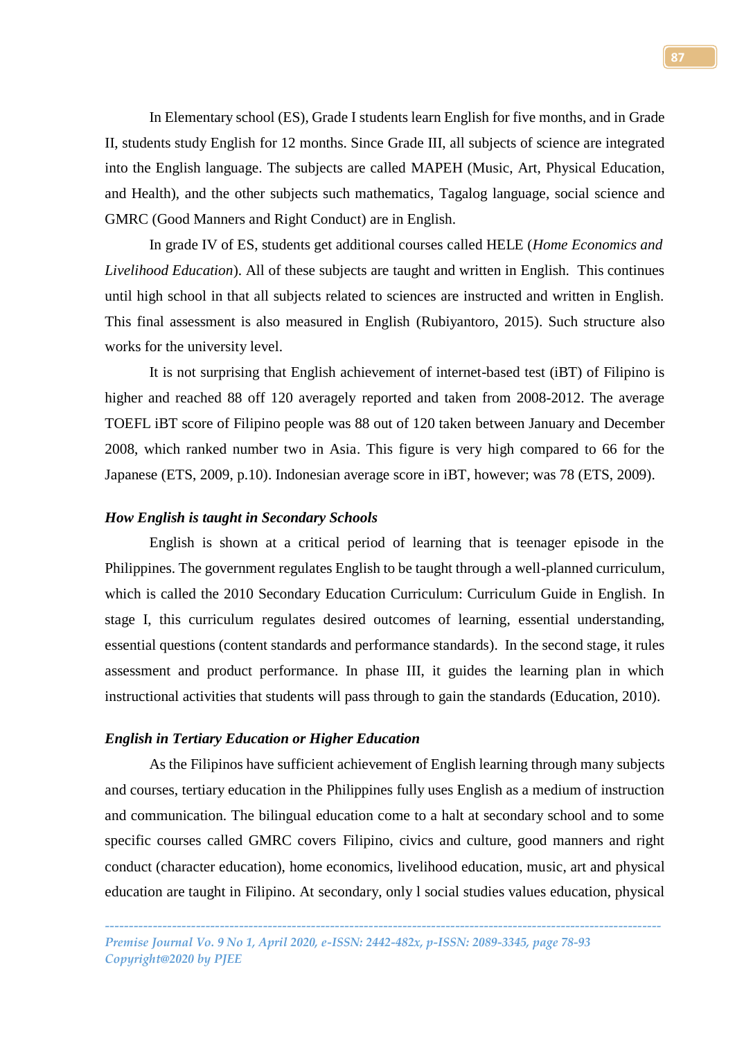In Elementary school (ES), Grade I students learn English for five months, and in Grade II, students study English for 12 months. Since Grade III, all subjects of science are integrated into the English language. The subjects are called MAPEH (Music, Art, Physical Education, and Health), and the other subjects such mathematics, Tagalog language, social science and GMRC (Good Manners and Right Conduct) are in English.

In grade IV of ES, students get additional courses called HELE (*Home Economics and Livelihood Education*). All of these subjects are taught and written in English. This continues until high school in that all subjects related to sciences are instructed and written in English. This final assessment is also measured in English (Rubiyantoro, 2015). Such structure also works for the university level.

It is not surprising that English achievement of internet-based test (iBT) of Filipino is higher and reached 88 off 120 averagely reported and taken from 2008-2012. The average TOEFL iBT score of Filipino people was 88 out of 120 taken between January and December 2008, which ranked number two in Asia. This figure is very high compared to 66 for the Japanese (ETS, 2009, p.10). Indonesian average score in iBT, however; was 78 (ETS, 2009).

### *How English is taught in Secondary Schools*

English is shown at a critical period of learning that is teenager episode in the Philippines. The government regulates English to be taught through a well-planned curriculum, which is called the 2010 Secondary Education Curriculum: Curriculum Guide in English. In stage I, this curriculum regulates desired outcomes of learning, essential understanding, essential questions (content standards and performance standards). In the second stage, it rules assessment and product performance. In phase III, it guides the learning plan in which instructional activities that students will pass through to gain the standards (Education, 2010).

# *English in Tertiary Education or Higher Education*

As the Filipinos have sufficient achievement of English learning through many subjects and courses, tertiary education in the Philippines fully uses English as a medium of instruction and communication. The bilingual education come to a halt at secondary school and to some specific courses called GMRC covers Filipino, civics and culture, good manners and right conduct (character education), home economics, livelihood education, music, art and physical education are taught in Filipino. At secondary, only l social studies values education, physical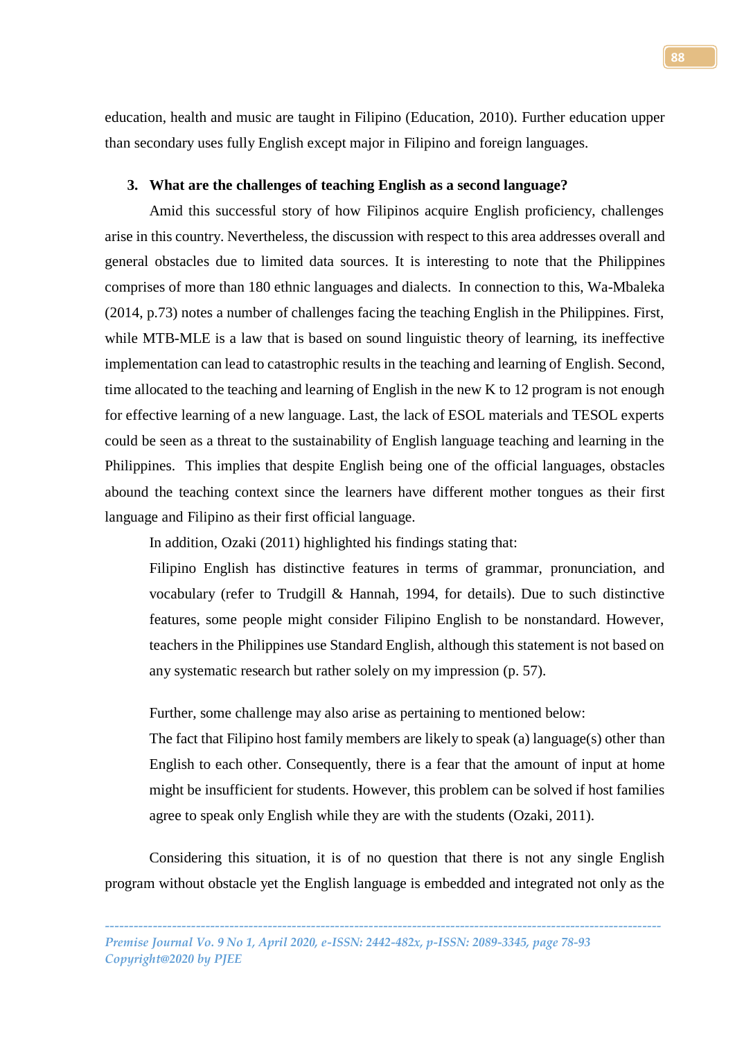education, health and music are taught in Filipino (Education, 2010). Further education upper than secondary uses fully English except major in Filipino and foreign languages.

# **3. What are the challenges of teaching English as a second language?**

Amid this successful story of how Filipinos acquire English proficiency, challenges arise in this country. Nevertheless, the discussion with respect to this area addresses overall and general obstacles due to limited data sources. It is interesting to note that the Philippines comprises of more than 180 ethnic languages and dialects. In connection to this, Wa-Mbaleka (2014, p.73) notes a number of challenges facing the teaching English in the Philippines. First, while MTB-MLE is a law that is based on sound linguistic theory of learning, its ineffective implementation can lead to catastrophic results in the teaching and learning of English. Second, time allocated to the teaching and learning of English in the new K to 12 program is not enough for effective learning of a new language. Last, the lack of ESOL materials and TESOL experts could be seen as a threat to the sustainability of English language teaching and learning in the Philippines. This implies that despite English being one of the official languages, obstacles abound the teaching context since the learners have different mother tongues as their first language and Filipino as their first official language.

In addition, Ozaki (2011) highlighted his findings stating that:

Filipino English has distinctive features in terms of grammar, pronunciation, and vocabulary (refer to Trudgill & Hannah, 1994, for details). Due to such distinctive features, some people might consider Filipino English to be nonstandard. However, teachers in the Philippines use Standard English, although this statement is not based on any systematic research but rather solely on my impression (p. 57).

Further, some challenge may also arise as pertaining to mentioned below:

The fact that Filipino host family members are likely to speak (a) language(s) other than English to each other. Consequently, there is a fear that the amount of input at home might be insufficient for students. However, this problem can be solved if host families agree to speak only English while they are with the students (Ozaki, 2011).

Considering this situation, it is of no question that there is not any single English program without obstacle yet the English language is embedded and integrated not only as the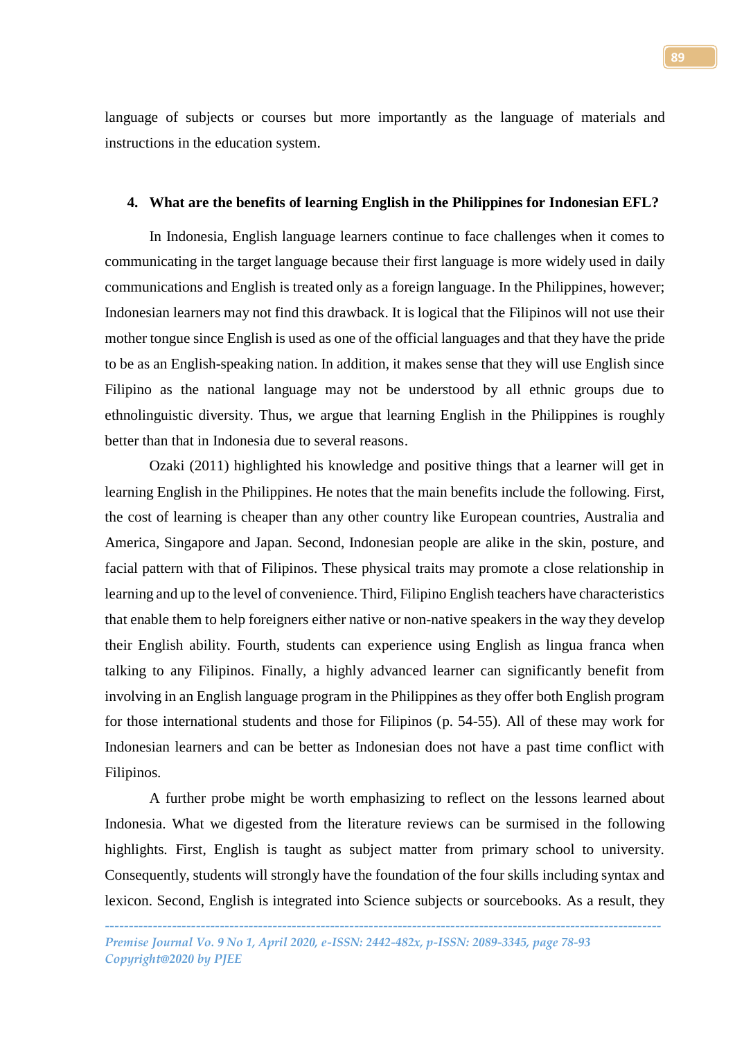language of subjects or courses but more importantly as the language of materials and instructions in the education system.

## **4. What are the benefits of learning English in the Philippines for Indonesian EFL?**

In Indonesia, English language learners continue to face challenges when it comes to communicating in the target language because their first language is more widely used in daily communications and English is treated only as a foreign language. In the Philippines, however; Indonesian learners may not find this drawback. It is logical that the Filipinos will not use their mother tongue since English is used as one of the official languages and that they have the pride to be as an English-speaking nation. In addition, it makes sense that they will use English since Filipino as the national language may not be understood by all ethnic groups due to ethnolinguistic diversity. Thus, we argue that learning English in the Philippines is roughly better than that in Indonesia due to several reasons.

Ozaki (2011) highlighted his knowledge and positive things that a learner will get in learning English in the Philippines. He notes that the main benefits include the following. First, the cost of learning is cheaper than any other country like European countries, Australia and America, Singapore and Japan. Second, Indonesian people are alike in the skin, posture, and facial pattern with that of Filipinos. These physical traits may promote a close relationship in learning and up to the level of convenience. Third, Filipino English teachers have characteristics that enable them to help foreigners either native or non-native speakers in the way they develop their English ability. Fourth, students can experience using English as lingua franca when talking to any Filipinos. Finally, a highly advanced learner can significantly benefit from involving in an English language program in the Philippines as they offer both English program for those international students and those for Filipinos (p. 54-55). All of these may work for Indonesian learners and can be better as Indonesian does not have a past time conflict with Filipinos.

A further probe might be worth emphasizing to reflect on the lessons learned about Indonesia. What we digested from the literature reviews can be surmised in the following highlights. First, English is taught as subject matter from primary school to university. Consequently, students will strongly have the foundation of the four skills including syntax and lexicon. Second, English is integrated into Science subjects or sourcebooks. As a result, they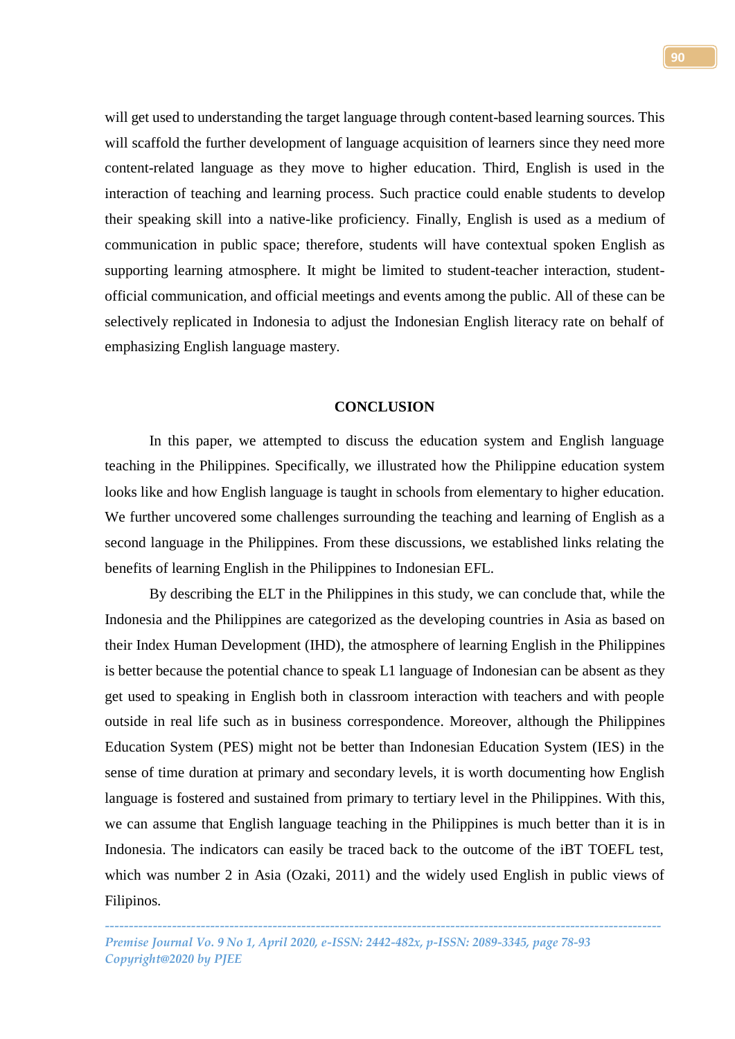will get used to understanding the target language through content-based learning sources. This will scaffold the further development of language acquisition of learners since they need more content-related language as they move to higher education. Third, English is used in the interaction of teaching and learning process. Such practice could enable students to develop their speaking skill into a native-like proficiency. Finally, English is used as a medium of communication in public space; therefore, students will have contextual spoken English as supporting learning atmosphere. It might be limited to student-teacher interaction, studentofficial communication, and official meetings and events among the public. All of these can be selectively replicated in Indonesia to adjust the Indonesian English literacy rate on behalf of emphasizing English language mastery.

## **CONCLUSION**

In this paper, we attempted to discuss the education system and English language teaching in the Philippines. Specifically, we illustrated how the Philippine education system looks like and how English language is taught in schools from elementary to higher education. We further uncovered some challenges surrounding the teaching and learning of English as a second language in the Philippines. From these discussions, we established links relating the benefits of learning English in the Philippines to Indonesian EFL.

By describing the ELT in the Philippines in this study, we can conclude that, while the Indonesia and the Philippines are categorized as the developing countries in Asia as based on their Index Human Development (IHD), the atmosphere of learning English in the Philippines is better because the potential chance to speak L1 language of Indonesian can be absent as they get used to speaking in English both in classroom interaction with teachers and with people outside in real life such as in business correspondence. Moreover, although the Philippines Education System (PES) might not be better than Indonesian Education System (IES) in the sense of time duration at primary and secondary levels, it is worth documenting how English language is fostered and sustained from primary to tertiary level in the Philippines. With this, we can assume that English language teaching in the Philippines is much better than it is in Indonesia. The indicators can easily be traced back to the outcome of the iBT TOEFL test, which was number 2 in Asia (Ozaki, 2011) and the widely used English in public views of Filipinos.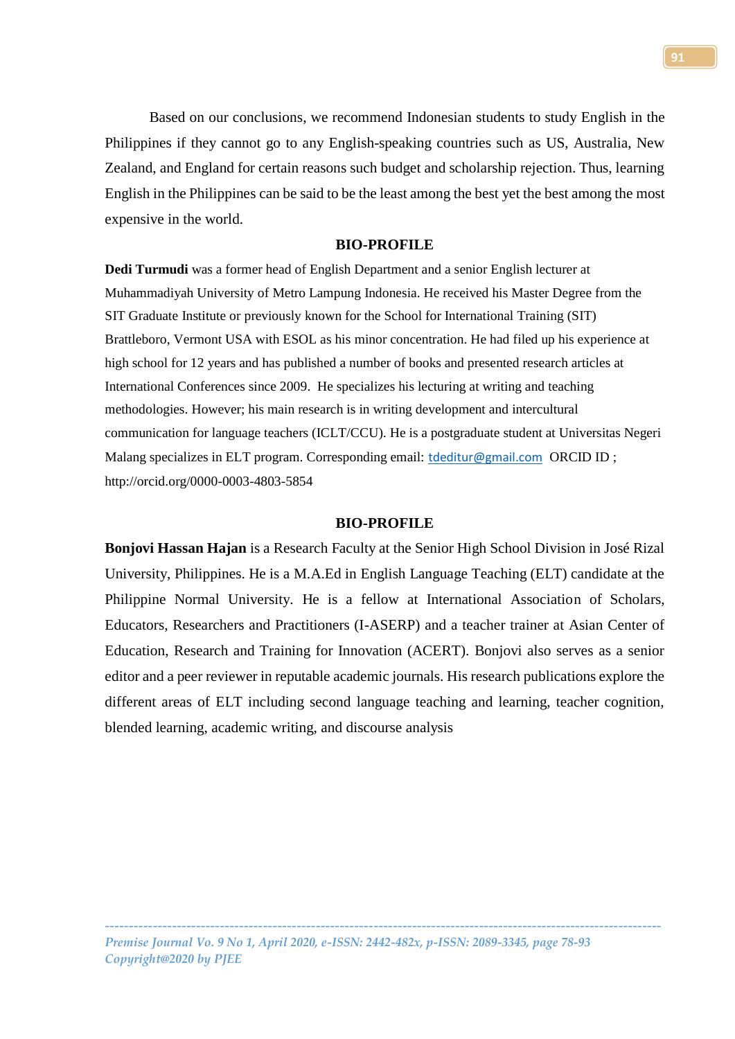Based on our conclusions, we recommend Indonesian students to study English in the Philippines if they cannot go to any English-speaking countries such as US, Australia, New Zealand, and England for certain reasons such budget and scholarship rejection. Thus, learning English in the Philippines can be said to be the least among the best yet the best among the most expensive in the world.

## **BIO-PROFILE**

**Dedi Turmudi** was a former head of English Department and a senior English lecturer at Muhammadiyah University of Metro Lampung Indonesia. He received his Master Degree from the SIT Graduate Institute or previously known for the School for International Training (SIT) Brattleboro, Vermont USA with ESOL as his minor concentration. He had filed up his experience at high school for 12 years and has published a number of books and presented research articles at International Conferences since 2009. He specializes his lecturing at writing and teaching methodologies. However; his main research is in writing development and intercultural communication for language teachers (ICLT/CCU). He is a postgraduate student at Universitas Negeri Malang specializes in ELT program. Corresponding email: [tdeditur@gmail.com](mailto:tdeditur@gmail.com) ORCID ID ; http://orcid.org/0000-0003-4803-5854

### **BIO-PROFILE**

**Bonjovi Hassan Hajan** is a Research Faculty at the Senior High School Division in José Rizal University, Philippines. He is a M.A.Ed in English Language Teaching (ELT) candidate at the Philippine Normal University. He is a fellow at International Association of Scholars, Educators, Researchers and Practitioners (I-ASERP) and a teacher trainer at Asian Center of Education, Research and Training for Innovation (ACERT). Bonjovi also serves as a senior editor and a peer reviewer in reputable academic journals. His research publications explore the different areas of ELT including second language teaching and learning, teacher cognition, blended learning, academic writing, and discourse analysis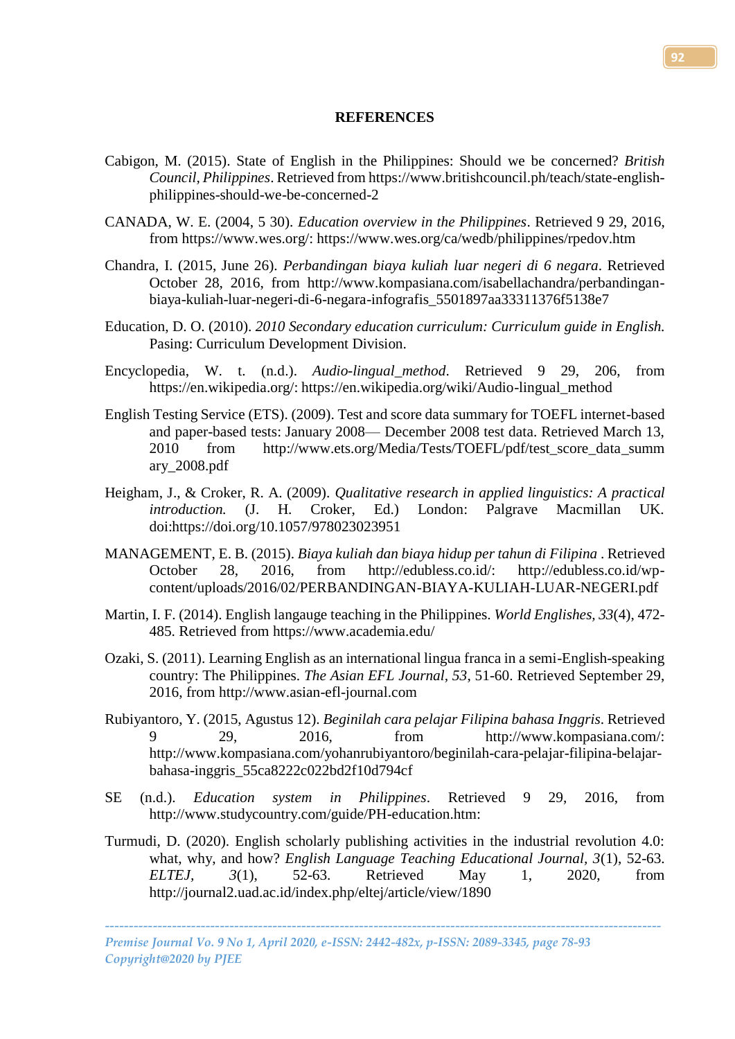### **REFERENCES**

- Cabigon, M. (2015). State of English in the Philippines: Should we be concerned? *British Council, Philippines*. Retrieved fro[m https://www.britishcouncil.ph/teach/state-english](https://www.britishcouncil.ph/teach/state-english-philippines-should-we-be-concerned-2)[philippines-should-we-be-concerned-2](https://www.britishcouncil.ph/teach/state-english-philippines-should-we-be-concerned-2)
- CANADA, W. E. (2004, 5 30). *Education overview in the Philippines*. Retrieved 9 29, 2016, from https://www.wes.org/: https://www.wes.org/ca/wedb/philippines/rpedov.htm
- Chandra, I. (2015, June 26). *Perbandingan biaya kuliah luar negeri di 6 negara*. Retrieved October 28, 2016, from http://www.kompasiana.com/isabellachandra/perbandinganbiaya-kuliah-luar-negeri-di-6-negara-infografis\_5501897aa33311376f5138e7
- Education, D. O. (2010). *2010 Secondary education curriculum: Curriculum guide in English.* Pasing: Curriculum Development Division.
- Encyclopedia, W. t. (n.d.). *Audio-lingual\_method*. Retrieved 9 29, 206, from https://en.wikipedia.org/: https://en.wikipedia.org/wiki/Audio-lingual\_method
- English Testing Service (ETS). (2009). Test and score data summary for TOEFL internet-based and paper-based tests: January 2008— December 2008 test data. Retrieved March 13, 2010 from http://www.ets.org/Media/Tests/TOEFL/pdf/test\_score\_data\_summ ary\_2008.pdf
- Heigham, J., & Croker, R. A. (2009). *Qualitative research in applied linguistics: A practical introduction.* (J. H. Croker, Ed.) London: Palgrave Macmillan UK. doi:https://doi.org/10.1057/978023023951
- MANAGEMENT, E. B. (2015). *Biaya kuliah dan biaya hidup per tahun di Filipina* . Retrieved October 28, 2016, from http://edubless.co.id/: http://edubless.co.id/wpcontent/uploads/2016/02/PERBANDINGAN-BIAYA-KULIAH-LUAR-NEGERI.pdf
- Martin, I. F. (2014). English langauge teaching in the Philippines. *World Englishes, 33*(4), 472- 485. Retrieved from https://www.academia.edu/
- Ozaki, S. (2011). Learning English as an international lingua franca in a semi-English-speaking country: The Philippines. *The Asian EFL Journal, 53*, 51-60. Retrieved September 29, 2016, from http://www.asian-efl-journal.com
- Rubiyantoro, Y. (2015, Agustus 12). *Beginilah cara pelajar Filipina bahasa Inggris*. Retrieved 9 29, 2016, from http://www.kompasiana.com/: http://www.kompasiana.com/yohanrubiyantoro/beginilah-cara-pelajar-filipina-belajarbahasa-inggris\_55ca8222c022bd2f10d794cf
- SE (n.d.). *Education system in Philippines*. Retrieved 9 29, 2016, from http://www.studycountry.com/guide/PH-education.htm:
- Turmudi, D. (2020). English scholarly publishing activities in the industrial revolution 4.0: what, why, and how? *English Language Teaching Educational Journal, 3*(1), 52-63. *ELTEJ, 3*(1), 52-63. Retrieved May 1, 2020, from http://journal2.uad.ac.id/index.php/eltej/article/view/1890

*Premise Journal Vo. 9 No 1, April 2020, e-ISSN: 2442-482x, p-ISSN: 2089-3345, page 78-93 Copyright@2020 by PJEE*